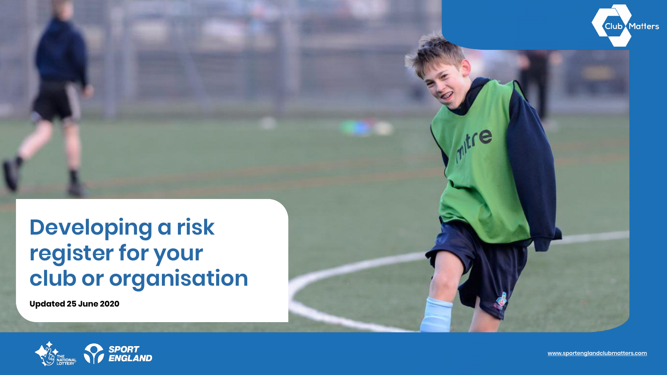# **Developing a risk register for your club or organisation**

**Updated 25 June 2020**





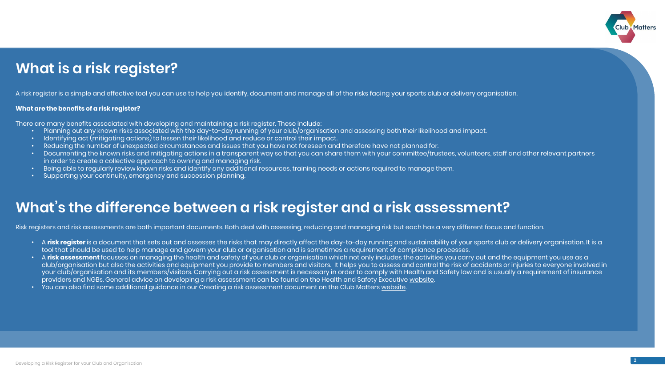### **What is a risk register?**

A risk register is a simple and effective tool you can use to help you identify, document and manage all of the risks facing your sports club or delivery organisation.

#### **What are the benefits of a risk register?**

There are many benefits associated with developing and maintaining a risk register. These include:

- Planning out any known risks associated with the day-to-day running of your club/organisation and assessing both their likelihood and impact.
- Identifying act (mitigating actions) to lessen their likelihood and reduce or control their impact.
- Reducing the number of unexpected circumstances and issues that you have not foreseen and therefore have not planned for.
- Documenting the known risks and mitigating actions in a transparent way so that you can share them with your committee/trustees, volunteers, staff and other relevant partners in order to create a collective approach to owning and managing risk.
- Being able to regularly review known risks and identify any additional resources, training needs or actions required to manage them.
- Supporting your continuity, emergency and succession planning.



### **What's the difference between a risk register and a risk assessment?**

- A risk register is a document that sets out and assesses the risks that may directly affect the day-to-day running and sustainability of your sports club or delivery organisation. It is a tool that should be used to help manage and govern your club or organisation and is sometimes a requirement of compliance processes.
- A **risk assessment** focusses on managing the health and safety of your club or organisation which not only includes the activities you carry out and the equipment you use as a club/organisation but also the activities and equipment you provide to members and visitors. It helps you to assess and control the risk of accidents or injuries to everyone involved in your club/organisation and its members/visitors. Carrying out a risk assessment is necessary in order to comply with Health and Safety law and is usually a requirement of insurance providers and NGBs. General advice on developing a risk assessment can be found on the Health and Safety Executive [website.](https://www.hse.gov.uk/simple-health-safety/risk/index.htm?utm_source=hse.gov.uk&utm_medium=refferal&utm_campaign=risk&utm_content=home-page-popular)
- You can also find some additional guidance in our Creating a risk assessment document on the Club Matters [website](https://learn.sportenglandclubmatters.com/course/view.php?id=71).

Risk registers and risk assessments are both important documents. Both deal with assessing, reducing and managing risk but each has a very different focus and function.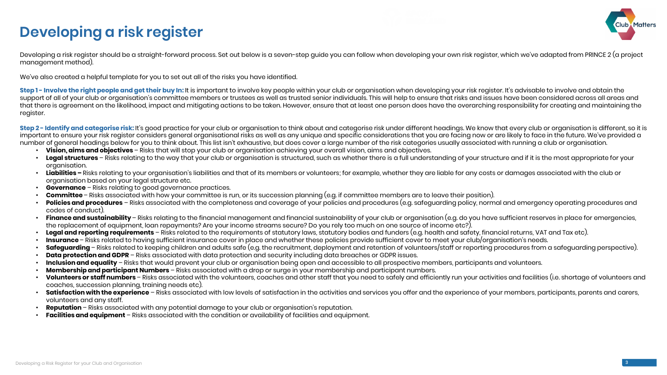Developing a risk register should be a straight-forward process. Set out below is a seven-step guide you can follow when developing your own risk register, which we've adapted from PRINCE 2 (a project management method).

We've also created a helpful template for you to set out all of the risks you have identified.

**Step 1 - Involve the right people and get their buy In:** It is important to involve key people within your club or organisation when developing your risk register. It's advisable to involve and obtain the support of all of your club or organisation's committee members or trustees as well as trusted senior individuals. This will help to ensure that risks and issues have been considered across all areas and that there is agreement on the likelihood, impact and mitigating actions to be taken. However, ensure that at least one person does have the overarching responsibility for creating and maintaining the register.

Step 2 - Identify and categorise risk: It's good practice for your club or organisation to think about and categorise risk under different headings. We know that every club or organisation is different, so it is important to ensure your risk register considers general organisational risks as well as any unique and specific considerations that you are facing now or are likely to face in the future. We've provided a number of general headings below for you to think about. This list isn't exhaustive, but does cover a large number of the risk categories usually associated with running a club or organisation. • **Vision, aims and objectives** – Risks that will stop your club or organisation achieving your overall vision, aims and objectives.

- 
- **Legal structures** Risks relating to the way that your club or organisation is structured, such as whether there is a full understanding of your structure and if it is the most appropriate for your organisation.
- Liabilities Risks relating to your organisation's liabilities and that of its members or volunteers; for example, whether they are liable for any costs or damages associated with the club or organisation based on your legal structure etc.
- **Governance** Risks relating to good governance practices.
- **Committee**  Risks associated with how your committee is run, or its succession planning (e.g. if committee members are to leave their position).
- **Policies and procedures** Risks associated with the completeness and coverage of your policies and procedures (e.g. safeguarding policy, normal and emergency operating procedures and codes of conduct).
- **Finance and sustainability**  Risks relating to the financial management and financial sustainability of your club or organisation (e.g. do you have sufficient reserves in place for emergencies, the replacement of equipment, loan repayments? Are your income streams secure? Do you rely too much on one source of income etc?).
- **Legal and reporting requirements** Risks related to the requirements of statutory laws, statutory bodies and funders (e.g. health and safety, financial returns, VAT and Tax etc).
- Insurance Risks related to having sufficient insurance cover in place and whether these policies provide sufficient cover to meet your club/organisation's needs.
- **Safeguarding**  Risks related to keeping children and adults safe (e.g. the recruitment, deployment and retention of volunteers/staff or reporting procedures from a safeguarding perspective).
- **Data protection and GDPR** Risks associated with data protection and security including data breaches or GDPR issues.
- **Inclusion and equality** Risks that would prevent your club or organisation being open and accessible to all prospective members, participants and volunteers.
- **Membership and participant Numbers** Risks associated with a drop or surge in your membership and participant numbers.
- **Volunteers or staff numbers**  Risks associated with the volunteers, coaches and other staff that you need to safely and efficiently run your activities and facilities (i.e. shortage of volunteers and coaches, succession planning, training needs etc).
- **Satisfaction with the experience** Risks associated with low levels of satisfaction in the activities and services you offer and the experience of your members, participants, parents and carers, volunteers and any staff.
- **Reputation**  Risks associated with any potential damage to your club or organisation's reputation.
- **Facilities and equipment** Risks associated with the condition or availability of facilities and equipment.

## **Developing a risk register**

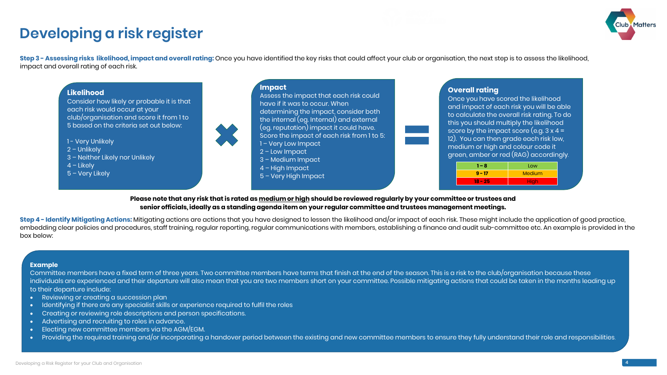## **Developing a risk register**

**Step 3 - Assessing risks likelihood, impact and overall rating:** Once you have identified the key risks that could affect your club or organisation, the next step is to assess the likelihood, impact and overall rating of each risk.

- 1 Very Unlikely
- 2 Unlikely
- 3 Neither Likely nor Unlikely
- $4$  Likely
- 5 Very Likely



Consider how likely or probable it is that each risk would occur at your club/organisation and score it from 1 to 5 based on the criteria set out below:



Assess the impact that each risk could have if it was to occur. When determining the impact, consider both the internal (eg. Internal) and external (eg. reputation) impact it could have. Score the impact of each risk from 1 to 5: 1 – Very Low Impact 2 – Low Impact 3 – Medium Impact 4 – High Impact

5 – Very High Impact



### **Please note that any risk that is rated as medium or high should be reviewed regularly by your committee or trustees and senior officials, ideally as a standing agenda item on your regular committee and trustees management meetings.**

**Step 4 - Identify Mitigating Actions:** Mitigating actions are actions that you have designed to lessen the likelihood and/or impact of each risk. These might include the application of good practice, embedding clear policies and procedures, staff training, regular reporting, regular communications with members, establishing a finance and audit sub-committee etc. An example is provided in the box below:

#### **Example**

Committee members have a fixed term of three years. Two committee members have terms that finish at the end of the season. This is a risk to the club/organisation because these individuals are experienced and their departure will also mean that you are two members short on your committee. Possible mitigating actions that could be taken in the months leading up to their departure include:

- Reviewing or creating a succession plan
- Identifying if there are any specialist skills or experience required to fulfil the roles
- Creating or reviewing role descriptions and person specifications.
- Advertising and recruiting to roles in advance.
- Electing new committee members via the AGM/EGM.
- Providing the required training and/or incorporating a handover period between the existing and new committee members to ensure they fully understand their role and responsibilities.



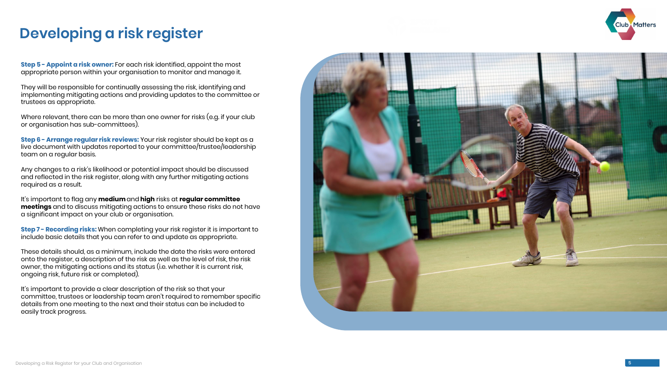**Step 5 - Appoint a risk owner:** For each risk identified, appoint the most appropriate person within your organisation to monitor and manage it.

They will be responsible for continually assessing the risk, identifying and implementing mitigating actions and providing updates to the committee or trustees as appropriate.

**Step 6 - Arrange regular risk reviews:** Your risk register should be kept as a l live document with updates reported to your committee/trustee/leadership team on a regular basis.

Where relevant, there can be more than one owner for risks (e.g. if your club or organisation has sub -committees).

**Step 7 - Recording risks:** When completing your risk register it is important to include basic details that you can refer to and update as appropriate.

Any changes to a risk's likelihood or potential impact should be discussed and reflected in the risk register, along with any further mitigating actions required as a result.

It's important to flag any **medium** and **high** risks at **regular committee meetings** and to discuss mitigating actions to ensure these risks do not have a significant impact on your club or organisation.

These details should, as a minimum, include the date the risks were entered onto the register, a description of the risk as well as the level of risk, the risk owner, the mitigating actions and its status (i.e. whether it is current risk, ongoing risk, future risk or completed).

It's important to provide a clear description of the risk so that your committee, trustees or leadership team aren't required to remember specific details from one meeting to the next and their status can be included to easily track progress.



### **Developing a risk register**